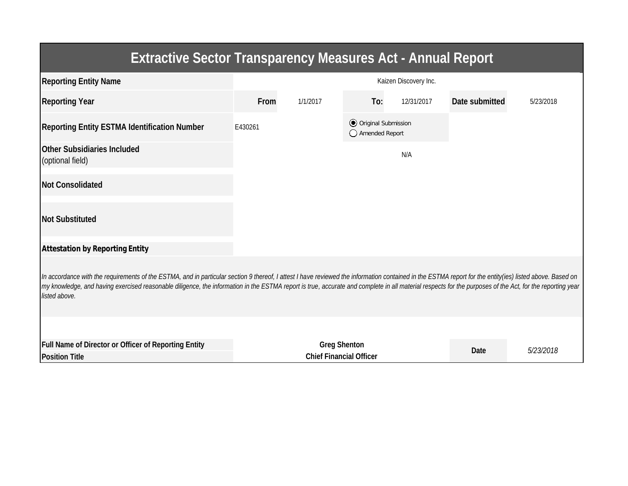| <b>Extractive Sector Transparency Measures Act - Annual Report</b>                                                                                                                                                                                                                                                                                                                                                                    |                                                       |          |                                                  |            |                |           |  |  |  |  |
|---------------------------------------------------------------------------------------------------------------------------------------------------------------------------------------------------------------------------------------------------------------------------------------------------------------------------------------------------------------------------------------------------------------------------------------|-------------------------------------------------------|----------|--------------------------------------------------|------------|----------------|-----------|--|--|--|--|
| <b>Reporting Entity Name</b>                                                                                                                                                                                                                                                                                                                                                                                                          | Kaizen Discovery Inc.                                 |          |                                                  |            |                |           |  |  |  |  |
| <b>Reporting Year</b>                                                                                                                                                                                                                                                                                                                                                                                                                 | <b>From</b>                                           | 1/1/2017 | To:                                              | 12/31/2017 | Date submitted | 5/23/2018 |  |  |  |  |
| <b>Reporting Entity ESTMA Identification Number</b>                                                                                                                                                                                                                                                                                                                                                                                   | E430261                                               |          | <b>⊙</b> Original Submission<br>◯ Amended Report |            |                |           |  |  |  |  |
| <b>Other Subsidiaries Included</b><br>(optional field)                                                                                                                                                                                                                                                                                                                                                                                |                                                       |          |                                                  | N/A        |                |           |  |  |  |  |
| <b>Not Consolidated</b>                                                                                                                                                                                                                                                                                                                                                                                                               |                                                       |          |                                                  |            |                |           |  |  |  |  |
| <b>Not Substituted</b>                                                                                                                                                                                                                                                                                                                                                                                                                |                                                       |          |                                                  |            |                |           |  |  |  |  |
| <b>Attestation by Reporting Entity</b>                                                                                                                                                                                                                                                                                                                                                                                                |                                                       |          |                                                  |            |                |           |  |  |  |  |
| In accordance with the requirements of the ESTMA, and in particular section 9 thereof, I attest I have reviewed the information contained in the ESTMA report for the entity(ies) listed above. Based on<br>my knowledge, and having exercised reasonable diligence, the information in the ESTMA report is true, accurate and complete in all material respects for the purposes of the Act, for the reporting year<br>listed above. |                                                       |          |                                                  |            |                |           |  |  |  |  |
|                                                                                                                                                                                                                                                                                                                                                                                                                                       |                                                       |          |                                                  |            |                |           |  |  |  |  |
| <b>Full Name of Director or Officer of Reporting Entity</b><br><b>Position Title</b>                                                                                                                                                                                                                                                                                                                                                  | <b>Greg Shenton</b><br><b>Chief Financial Officer</b> |          |                                                  |            | <b>Date</b>    | 5/23/2018 |  |  |  |  |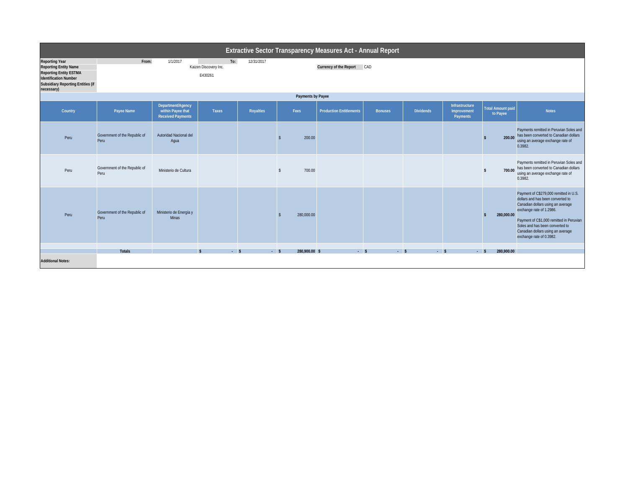|                                                                                                                                                                                  | Extractive Sector Transparency Measures Act - Annual Report |                                                                    |                                         |                  |                         |                                |                |                  |                                                         |                                      |                                                                                                                                                                                                                                                                                              |
|----------------------------------------------------------------------------------------------------------------------------------------------------------------------------------|-------------------------------------------------------------|--------------------------------------------------------------------|-----------------------------------------|------------------|-------------------------|--------------------------------|----------------|------------------|---------------------------------------------------------|--------------------------------------|----------------------------------------------------------------------------------------------------------------------------------------------------------------------------------------------------------------------------------------------------------------------------------------------|
| <b>Reporting Year</b><br><b>Reporting Entity Name</b><br><b>Reporting Entity ESTMA</b><br><b>Identification Number</b><br><b>Subsidiary Reporting Entities (if</b><br>necessary) | From:                                                       | 1/1/2017                                                           | To:<br>Kaizen Discovery Inc.<br>E430261 | 12/31/2017       |                         | Currency of the Report CAD     |                |                  |                                                         |                                      |                                                                                                                                                                                                                                                                                              |
|                                                                                                                                                                                  | <b>Payments by Payee</b>                                    |                                                                    |                                         |                  |                         |                                |                |                  |                                                         |                                      |                                                                                                                                                                                                                                                                                              |
| Country                                                                                                                                                                          | Payee Name                                                  | Department/Agency<br>within Payee that<br><b>Received Payments</b> | <b>Taxes</b>                            | <b>Royalties</b> | Fees                    | <b>Production Entitlements</b> | <b>Bonuses</b> | <b>Dividends</b> | <b>Infrastructure</b><br>Improvement<br><b>Payments</b> | <b>Total Amount paid</b><br>to Payee | <b>Notes</b>                                                                                                                                                                                                                                                                                 |
| Peru                                                                                                                                                                             | Government of the Republic of<br>Peru                       | Autoridad Nacional del<br>Aqua                                     |                                         |                  | 200.00                  |                                |                |                  |                                                         | 200.00<br>S                          | Payments remitted in Peruvian Soles and<br>has been converted to Canadian dollars<br>using an average exchange rate of<br>0.3982.                                                                                                                                                            |
| Peru                                                                                                                                                                             | Government of the Republic of<br>Peru                       | Ministerio de Cultura                                              |                                         |                  | 700.00<br><sup>\$</sup> |                                |                |                  |                                                         | 700.00<br>\$                         | Payments remitted in Peruvian Soles and<br>has been converted to Canadian dollars<br>using an average exchange rate of<br>0.3982.                                                                                                                                                            |
| Peru                                                                                                                                                                             | Government of the Republic of<br>Peru                       | Ministerio de Energía y<br>Minas                                   |                                         |                  | 280,000.00<br>¢         |                                |                |                  |                                                         | 280,000.00<br>$\mathbf{s}$           | Payment of C\$279,000 remitted in U.S.<br>dollars and has been converted to<br>Canadian dollars using an average<br>exchange rate of 1.2986.<br>Payment of C\$1,000 remitted in Peruvian<br>Soles and has been converted to<br>Canadian dollars using an average<br>exchange rate of 0.3982. |
|                                                                                                                                                                                  | <b>Totals</b>                                               |                                                                    | $-5$<br>$\mathbf{s}$                    | $-5$             | 280,900.00 \$           | $-5$                           | $-5$           | $-5$             |                                                         | 280,900.00<br>$-5$                   |                                                                                                                                                                                                                                                                                              |
| <b>Additional Notes:</b>                                                                                                                                                         |                                                             |                                                                    |                                         |                  |                         |                                |                |                  |                                                         |                                      |                                                                                                                                                                                                                                                                                              |